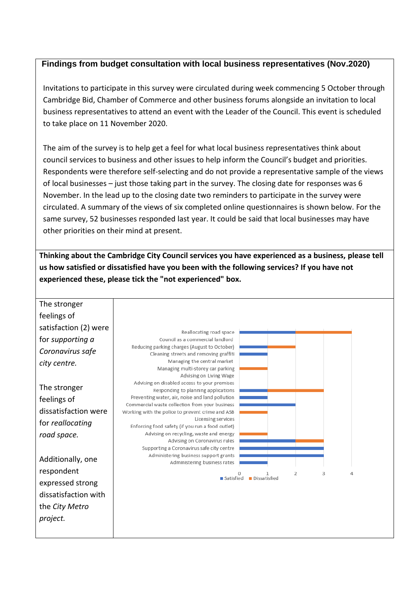## **Findings from budget consultation with local business representatives (Nov.2020)**

Invitations to participate in this survey were circulated during week commencing 5 October through Cambridge Bid, Chamber of Commerce and other business forums alongside an invitation to local business representatives to attend an event with the Leader of the Council. This event is scheduled to take place on 11 November 2020.

The aim of the survey is to help get a feel for what local business representatives think about council services to business and other issues to help inform the Council's budget and priorities. Respondents were therefore self-selecting and do not provide a representative sample of the views of local businesses – just those taking part in the survey. The closing date for responses was 6 November. In the lead up to the closing date two reminders to participate in the survey were circulated. A summary of the views of six completed online questionnaires is shown below. For the same survey, 52 businesses responded last year. It could be said that local businesses may have other priorities on their mind at present.

**Thinking about the Cambridge City Council services you have experienced as a business, please tell us how satisfied or dissatisfied have you been with the following services? If you have not experienced these, please tick the "not experienced" box.**

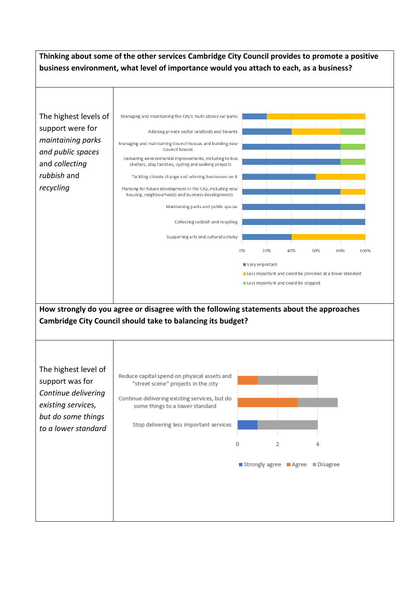